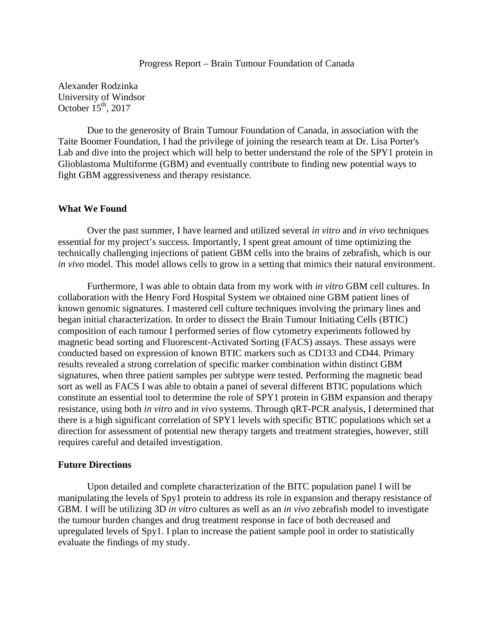## Progress Report – Brain Tumour Foundation of Canada

Alexander Rodzinka University of Windsor October  $15<sup>th</sup>$ , 2017

Due to the generosity of Brain Tumour Foundation of Canada, in association with the Taite Boomer Foundation, I had the privilege of joining the research team at Dr. Lisa Porter's Lab and dive into the project which will help to better understand the role of the SPY1 protein in Glioblastoma Multiforme (GBM) and eventually contribute to finding new potential ways to fight GBM aggressiveness and therapy resistance.

## **What We Found**

Over the past summer, I have learned and utilized several *in vitro* and *in vivo* techniques essential for my project's success. Importantly, I spent great amount of time optimizing the technically challenging injections of patient GBM cells into the brains of zebrafish, which is our *in vivo* model. This model allows cells to grow in a setting that mimics their natural environment.

Furthermore, I was able to obtain data from my work with *in vitro* GBM cell cultures. In collaboration with the Henry Ford Hospital System we obtained nine GBM patient lines of known genomic signatures. I mastered cell culture techniques involving the primary lines and began initial characterization. In order to dissect the Brain Tumour Initiating Cells (BTIC) composition of each tumour I performed series of flow cytometry experiments followed by magnetic bead sorting and Fluorescent-Activated Sorting (FACS) assays. These assays were conducted based on expression of known BTIC markers such as CD133 and CD44. Primary results revealed a strong correlation of specific marker combination within distinct GBM signatures, when three patient samples per subtype were tested. Performing the magnetic bead sort as well as FACS I was able to obtain a panel of several different BTIC populations which constitute an essential tool to determine the role of SPY1 protein in GBM expansion and therapy resistance, using both *in vitro* and *in vivo* systems. Through qRT-PCR analysis, I determined that there is a high significant correlation of SPY1 levels with specific BTIC populations which set a direction for assessment of potential new therapy targets and treatment strategies, however, still requires careful and detailed investigation.

## **Future Directions**

Upon detailed and complete characterization of the BITC population panel I will be manipulating the levels of Spy1 protein to address its role in expansion and therapy resistance of GBM. I will be utilizing 3D *in vitro* cultures as well as an *in vivo* zebrafish model to investigate the tumour burden changes and drug treatment response in face of both decreased and upregulated levels of Spy1. I plan to increase the patient sample pool in order to statistically evaluate the findings of my study.